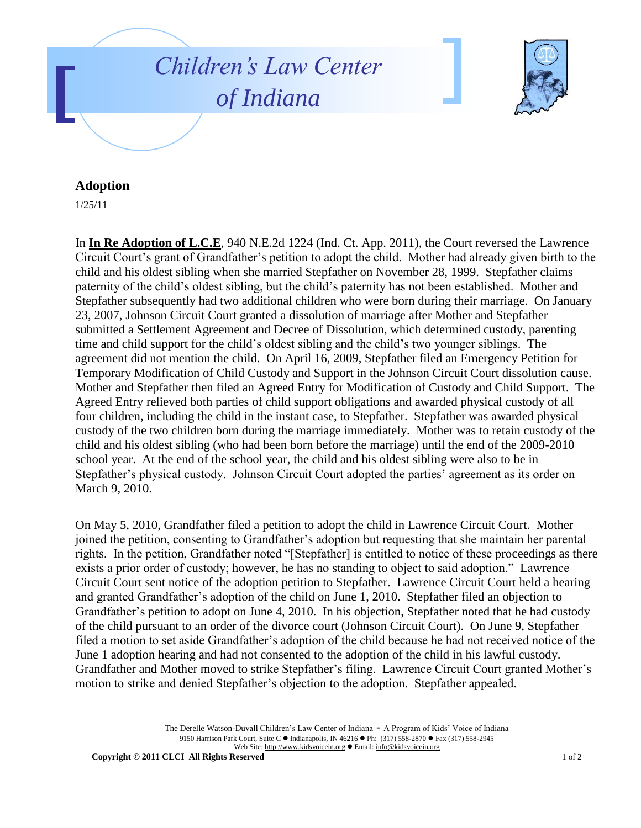



## **Adoption**

1/25/11

In **In Re Adoption of L.C.E**, 940 N.E.2d 1224 (Ind. Ct. App. 2011), the Court reversed the Lawrence Circuit Court's grant of Grandfather's petition to adopt the child. Mother had already given birth to the child and his oldest sibling when she married Stepfather on November 28, 1999. Stepfather claims paternity of the child's oldest sibling, but the child's paternity has not been established. Mother and Stepfather subsequently had two additional children who were born during their marriage. On January 23, 2007, Johnson Circuit Court granted a dissolution of marriage after Mother and Stepfather submitted a Settlement Agreement and Decree of Dissolution, which determined custody, parenting time and child support for the child's oldest sibling and the child's two younger siblings. The agreement did not mention the child. On April 16, 2009, Stepfather filed an Emergency Petition for Temporary Modification of Child Custody and Support in the Johnson Circuit Court dissolution cause. Mother and Stepfather then filed an Agreed Entry for Modification of Custody and Child Support. The Agreed Entry relieved both parties of child support obligations and awarded physical custody of all four children, including the child in the instant case, to Stepfather. Stepfather was awarded physical custody of the two children born during the marriage immediately. Mother was to retain custody of the child and his oldest sibling (who had been born before the marriage) until the end of the 2009-2010 school year. At the end of the school year, the child and his oldest sibling were also to be in Stepfather's physical custody. Johnson Circuit Court adopted the parties' agreement as its order on March 9, 2010.

On May 5, 2010, Grandfather filed a petition to adopt the child in Lawrence Circuit Court. Mother joined the petition, consenting to Grandfather's adoption but requesting that she maintain her parental rights. In the petition, Grandfather noted "[Stepfather] is entitled to notice of these proceedings as there exists a prior order of custody; however, he has no standing to object to said adoption." Lawrence Circuit Court sent notice of the adoption petition to Stepfather. Lawrence Circuit Court held a hearing and granted Grandfather's adoption of the child on June 1, 2010. Stepfather filed an objection to Grandfather's petition to adopt on June 4, 2010. In his objection, Stepfather noted that he had custody of the child pursuant to an order of the divorce court (Johnson Circuit Court). On June 9, Stepfather filed a motion to set aside Grandfather's adoption of the child because he had not received notice of the June 1 adoption hearing and had not consented to the adoption of the child in his lawful custody. Grandfather and Mother moved to strike Stepfather's filing. Lawrence Circuit Court granted Mother's motion to strike and denied Stepfather's objection to the adoption. Stepfather appealed.

> The Derelle Watson-Duvall Children's Law Center of Indiana - A Program of Kids' Voice of Indiana 9150 Harrison Park Court, Suite C · Indianapolis, IN 46216 · Ph: (317) 558-2870 · Fax (317) 558-2945 Web Site: http://www.kidsvoicein.org Email: info@kidsvoicein.org